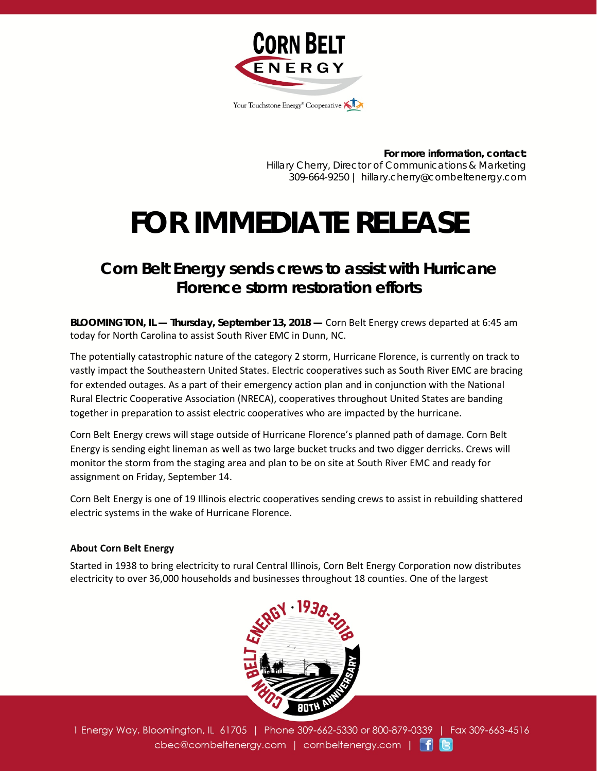

**For more information, contact:** Hillary Cherry, Director of Communications & Marketing 309-664-9250 | hillary.cherry@cornbeltenergy.com

## **FOR IMMEDIATE RELEASE**

## *Corn Belt Energy sends crews to assist with Hurricane Florence storm restoration efforts*

*BLOOMINGTON, IL — Thursday, September 13, 2018 —* Corn Belt Energy crews departed at 6:45 am today for North Carolina to assist South River EMC in Dunn, NC.

The potentially catastrophic nature of the category 2 storm, Hurricane Florence, is currently on track to vastly impact the Southeastern United States. Electric cooperatives such as South River EMC are bracing for extended outages. As a part of their emergency action plan and in conjunction with the National Rural Electric Cooperative Association (NRECA), cooperatives throughout United States are banding together in preparation to assist electric cooperatives who are impacted by the hurricane.

Corn Belt Energy crews will stage outside of Hurricane Florence's planned path of damage. Corn Belt Energy is sending eight lineman as well as two large bucket trucks and two digger derricks. Crews will monitor the storm from the staging area and plan to be on site at South River EMC and ready for assignment on Friday, September 14.

Corn Belt Energy is one of 19 Illinois electric cooperatives sending crews to assist in rebuilding shattered electric systems in the wake of Hurricane Florence.

## **About Corn Belt Energy**

Started in 1938 to bring electricity to rural Central Illinois, Corn Belt Energy Corporation now distributes electricity to over 36,000 households and businesses throughout 18 counties. One of the largest



1 Energy Way, Bloomington, IL 61705 | Phone 309-662-5330 or 800-879-0339 | Fax 309-663-4516 cbec@cornbeltenergy.com | cornbeltenergy.com | f